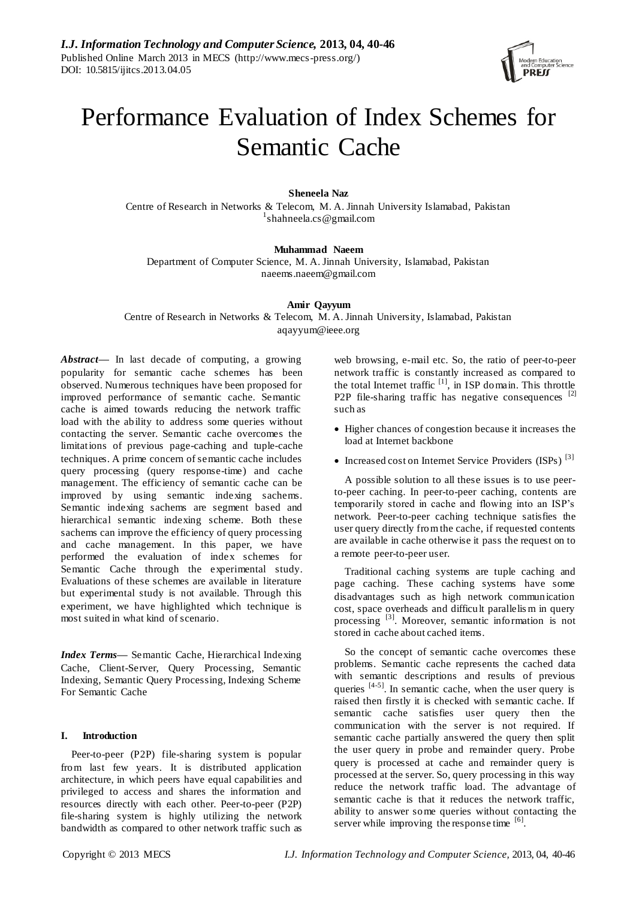

# Performance Evaluation of Index Schemes for Semantic Cache

# **Sheneela Naz**

Centre of Research in Networks & Telecom, M. A. Jinnah University Islamabad, Pakistan 1 shahneela.cs@gmail.com

## **Muhammad Naeem**

Department of Computer Science, M. A. Jinnah University, Islamabad, Pakistan naeems.naeem@gmail.com

## **Amir Qayyum**

Centre of Research in Networks & Telecom, M. A. Jinnah University, Islamabad, Pakistan aqayyum@ieee.org

*Abstract***—** In last decade of computing, a growing popularity for semantic cache schemes has been observed. Numerous techniques have been proposed for improved performance of semantic cache. Semantic cache is aimed towards reducing the network traffic load with the ability to address some queries without contacting the server. Semantic cache overcomes the limitations of previous page-caching and tuple-cache techniques. A prime concern of semantic cache includes query processing (query response-time) and cache management. The efficiency of semantic cache can be improved by using semantic indexing sachems. Semantic indexing sachems are segment based and hierarchical semantic indexing scheme. Both these sachems can improve the efficiency of query processing and cache management. In this paper, we have performed the evaluation of index schemes for Semantic Cache through the experimental study. Evaluations of these schemes are available in literature but experimental study is not available. Through this experiment, we have highlighted which technique is most suited in what kind of scenario.

*Index Terms***—** Semantic Cache, Hierarchical Indexing Cache, Client-Server, Query Processing, Semantic Indexing, Semantic Query Processing, Indexing Scheme For Semantic Cache

## **I. Introduction**

Peer-to-peer (P2P) file-sharing system is popular from last few years. It is distributed application architecture, in which peers have equal capabilities and privileged to access and shares the information and resources directly with each other. Peer-to-peer (P2P) file-sharing system is highly utilizing the network bandwidth as compared to other network traffic such as web browsing, e-mail etc. So, the ratio of peer-to-peer network traffic is constantly increased as compared to the total Internet traffic  $[1]$ , in ISP domain. This throttle P2P file-sharing traffic has negative consequences [2] such as

- Higher chances of congestion because it increases the load at Internet backbone
- Increased cost on Internet Service Providers (ISPs)<sup>[3]</sup>

A possible solution to all these issues is to use peerto-peer caching. In peer-to-peer caching, contents are temporarily stored in cache and flowing into an ISP's network. Peer-to-peer caching technique satisfies the user query directly from the cache, if requested contents are available in cache otherwise it pass the request on to a remote peer-to-peer user.

Traditional caching systems are tuple caching and page caching. These caching systems have some disadvantages such as high network communication cost, space overheads and difficult parallelis m in query processing <sup>[3]</sup>. Moreover, semantic information is not stored in cache about cached items.

So the concept of semantic cache overcomes these problems. Semantic cache represents the cached data with semantic descriptions and results of previous queries  $[4-5]$ . In semantic cache, when the user query is raised then firstly it is checked with semantic cache. If semantic cache satisfies user query then the communication with the server is not required. If semantic cache partially answered the query then split the user query in probe and remainder query. Probe query is processed at cache and remainder query is processed at the server. So, query processing in this way reduce the network traffic load. The advantage of semantic cache is that it reduces the network traffic, ability to answer some queries without contacting the server while improving the response time  $[6]$ .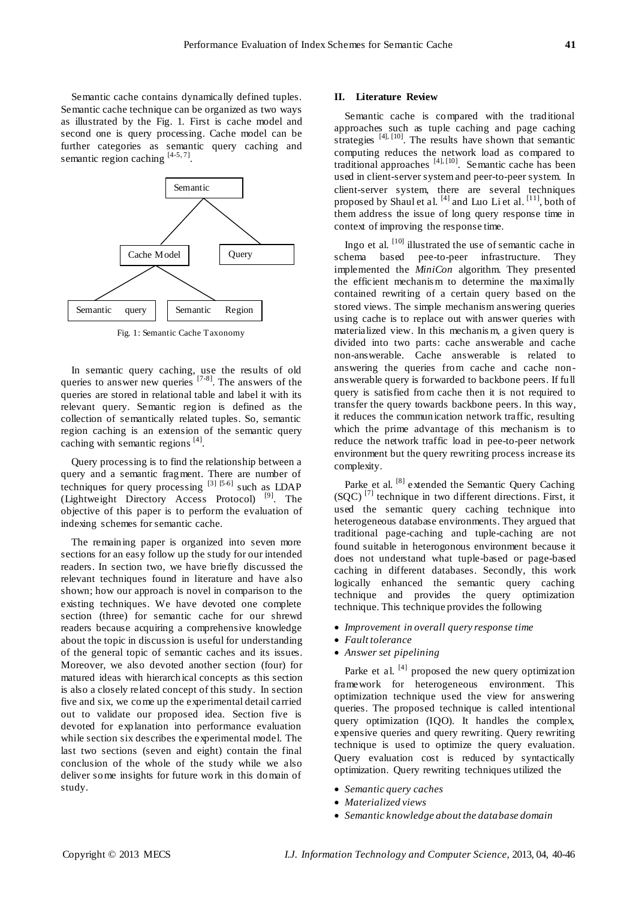Semantic cache contains dynamically defined tuples. Semantic cache technique can be organized as two ways as illustrated by the Fig. 1. First is cache model and second one is query processing. Cache model can be further categories as semantic query caching and semantic region caching  $[4-5, 7]$ .



Fig. 1: Semantic Cache Taxonomy

In semantic query caching, use the results of old queries to answer new queries  $[7-8]$ . The answers of the queries are stored in relational table and label it with its relevant query. Semantic region is defined as the collection of semantically related tuples. So, semantic region caching is an extension of the semantic query caching with semantic regions [4].

Query processing is to find the relationship between a query and a semantic fragment. There are number of techniques for query processing  $[3]$   $[5-6]$  such as LDAP (Lightweight Directory Access Protocol)<sup>[9]</sup>. The objective of this paper is to perform the evaluation of indexing schemes for semantic cache.

The remaining paper is organized into seven more sections for an easy follow up the study for our intended readers. In section two, we have briefly discussed the relevant techniques found in literature and have also shown; how our approach is novel in comparison to the existing techniques. We have devoted one complete section (three) for semantic cache for our shrewd readers because acquiring a comprehensive knowledge about the topic in discussion is useful for understanding of the general topic of semantic caches and its issues. Moreover, we also devoted another section (four) for matured ideas with hierarchical concepts as this section is also a closely related concept of this study. In section five and six, we come up the experimental detail carried out to validate our proposed idea. Section five is devoted for explanation into performance evaluation while section six describes the experimental model. The last two sections (seven and eight) contain the final conclusion of the whole of the study while we also deliver some insights for future work in this domain of study.

## **II. Literature Review**

Semantic cache is compared with the traditional approaches such as tuple caching and page caching strategies [4], [10]. The results have shown that semantic computing reduces the network load as compared to traditional approaches  $[4]$ ,  $[10]$ . Semantic cache has been used in client-server system and peer-to-peer system. In client-server system, there are several techniques proposed by Shaul et al. <sup>[4]</sup> and Luo Li et al. <sup>[11]</sup>, both of them address the issue of long query response time in context of improving the response time.

Ingo et al. <sup>[10]</sup> illustrated the use of semantic cache in schema based pee-to-peer infrastructure. They implemented the *MiniCon* algorithm. They presented the efficient mechanis m to determine the maximally contained rewriting of a certain query based on the stored views. The simple mechanism answering queries using cache is to replace out with answer queries with materialized view. In this mechanis m, a given query is divided into two parts: cache answerable and cache non-answerable. Cache answerable is related to answering the queries from cache and cache nonanswerable query is forwarded to backbone peers. If full query is satisfied from cache then it is not required to transfer the query towards backbone peers. In this way, it reduces the communication network traffic, resulting which the prime advantage of this mechanism is to reduce the network traffic load in pee-to-peer network environment but the query rewriting process increase its complexity.

Parke et al. <sup>[8]</sup> extended the Semantic Query Caching (SQC)<sup>[7]</sup> technique in two different directions. First, it used the semantic query caching technique into heterogeneous database environments. They argued that traditional page-caching and tuple-caching are not found suitable in heterogonous environment because it does not understand what tuple-based or page-based caching in different databases. Secondly, this work logically enhanced the semantic query caching technique and provides the query optimization technique. This technique provides the following

- *Improvement in overall query response time*
- *Fault tolerance*
- *Answer set pipelining*

Parke et al.  $[4]$  proposed the new query optimization framework for heterogeneous environment. This optimization technique used the view for answering queries. The proposed technique is called intentional query optimization (IQO). It handles the complex, expensive queries and query rewriting. Query rewriting technique is used to optimize the query evaluation. Query evaluation cost is reduced by syntactically optimization. Query rewriting techniques utilized the

- *Semantic query caches*
- *Materialized views*
- *Semantic knowledge about the database domain*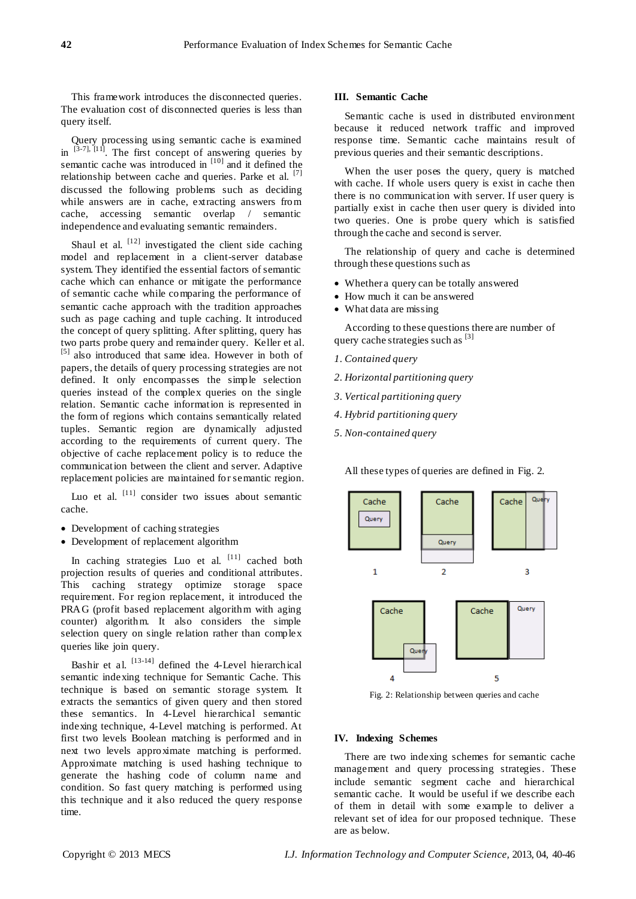This framework introduces the disconnected queries. The evaluation cost of disconnected queries is less than query itself.

Query processing using semantic cache is examined in  $[3-7]$ ,  $[11]$ . The first concept of answering queries by semantic cache was introduced in  $[10]$  and it defined the relationship between cache and queries. Parke et al. [7] discussed the following problems such as deciding while answers are in cache, extracting answers from cache, accessing semantic overlap / semantic independence and evaluating semantic remainders.

Shaul et al.  $[12]$  investigated the client side caching model and replacement in a client-server database system. They identified the essential factors of semantic cache which can enhance or mitigate the performance of semantic cache while comparing the performance of semantic cache approach with the tradition approaches such as page caching and tuple caching. It introduced the concept of query splitting. After splitting, query has two parts probe query and remainder query. Keller et al. [5] also introduced that same idea. However in both of papers, the details of query processing strategies are not defined. It only encompasses the simple selection queries instead of the complex queries on the single relation. Semantic cache information is represented in the form of regions which contains semantically related tuples. Semantic region are dynamically adjusted according to the requirements of current query. The objective of cache replacement policy is to reduce the communication between the client and server. Adaptive replacement policies are maintained for semantic region.

Luo et al. <sup>[11]</sup> consider two issues about semantic cache.

- Development of caching strategies
- Development of replacement algorithm

In caching strategies Luo et al. [11] cached both projection results of queries and conditional attributes. This caching strategy optimize storage space requirement. For region replacement, it introduced the PRAG (profit based replacement algorithm with aging counter) algorithm. It also considers the simple selection query on single relation rather than complex queries like join query.

Bashir et al.  $[13-14]$  defined the 4-Level hierarchical semantic indexing technique for Semantic Cache. This technique is based on semantic storage system. It extracts the semantics of given query and then stored these semantics. In 4-Level hierarchical semantic indexing technique, 4-Level matching is performed. At first two levels Boolean matching is performed and in next two levels approximate matching is performed. Approximate matching is used hashing technique to generate the hashing code of column name and condition. So fast query matching is performed using this technique and it also reduced the query response time.

#### **III. Semantic Cache**

Semantic cache is used in distributed environment because it reduced network traffic and improved response time. Semantic cache maintains result of previous queries and their semantic descriptions.

When the user poses the query, query is matched with cache. If whole users query is exist in cache then there is no communication with server. If user query is partially exist in cache then user query is divided into two queries. One is probe query which is satisfied through the cache and second is server.

The relationship of query and cache is determined through these questions such as

- Whether a query can be totally answered
- How much it can be answered
- What data are missing

According to these questions there are number of query cache strategies such as  $[3]$ 

- *1. Contained query*
- *2. Horizontal partitioning query*
- *3. Vertical partitioning query*
- *4. Hybrid partitioning query*
- *5. Non-contained query*

All these types of queries are defined in Fig. 2.



Fig. 2: Relationship between queries and cache

## **IV. Indexing Schemes**

There are two indexing schemes for semantic cache management and query processing strategies. These include semantic segment cache and hierarchical semantic cache. It would be useful if we describe each of them in detail with some example to deliver a relevant set of idea for our proposed technique. These are as below.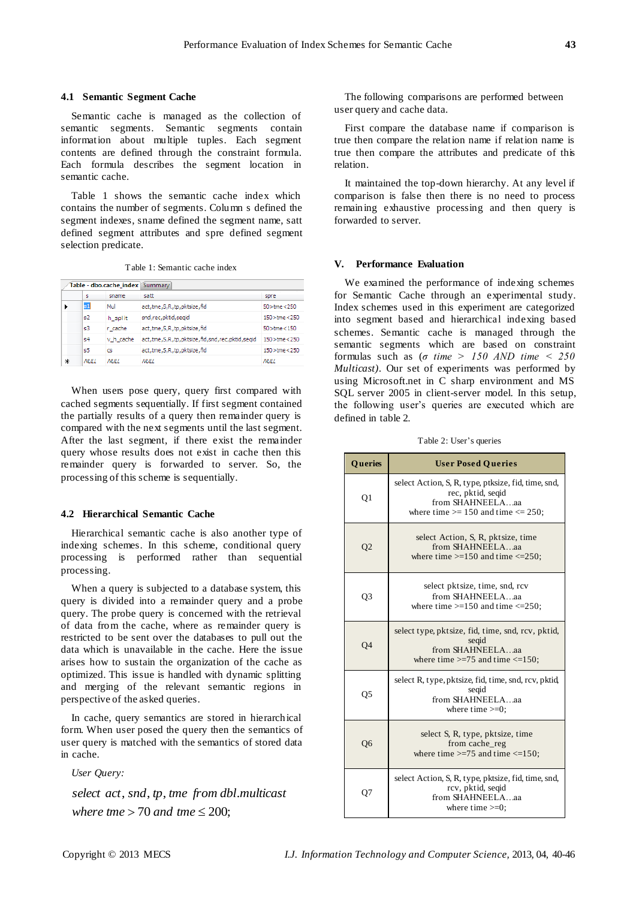#### **4.1 Semantic Segment Cache**

Semantic cache is managed as the collection of semantic segments. Semantic segments contain information about multiple tuples. Each segment contents are defined through the constraint formula. Each formula describes the segment location in semantic cache.

Table 1 shows the semantic cache index which contains the number of segments. Column s defined the segment indexes, sname defined the segment name, satt defined segment attributes and spre defined segment selection predicate.

Table 1: Semantic cache index

|   |                             | Table - dbo.cache_index Summary |                                                          |                     |
|---|-----------------------------|---------------------------------|----------------------------------------------------------|---------------------|
|   | s                           | sname                           | satt                                                     | spre                |
|   | $\boldsymbol{\mathsf{s}}$ 1 | Mul                             | act, tme, S, R, tp, pktsize, fid                         | $50$ >tme<250       |
|   | s2                          | h_split                         | snd,rec,pktid,segid                                      | $150 >$ tme $<$ 250 |
|   | s3                          | r cache                         | act, tme, S, R, tp, pktsize, fid                         | $50$ >tme < 150     |
|   | s4                          | v h cache                       | act, tme, S, R, tp, pktsize, fid, snd, rec, pktid, seqid | $150$ > tme < 250   |
|   | s5                          | cs                              | act, tme, S, R, tp, pktsize, fid                         | 150 >tme<250        |
| ⋇ | <b>NULL</b>                 | <b>M#I</b>                      | <b>NULL</b>                                              | <b>NULL</b>         |

When users pose query, query first compared with cached segments sequentially. If first segment contained the partially results of a query then remainder query is compared with the next segments until the last segment. After the last segment, if there exist the remainder query whose results does not exist in cache then this remainder query is forwarded to server. So, the processing of this scheme is sequentially.

#### **4.2 Hierarchical Semantic Cache**

Hierarchical semantic cache is also another type of indexing schemes. In this scheme, conditional query processing is performed rather than sequential processing.

When a query is subjected to a database system, this query is divided into a remainder query and a probe query. The probe query is concerned with the retrieval of data from the cache, where as remainder query is restricted to be sent over the databases to pull out the data which is unavailable in the cache. Here the issue arises how to sustain the organization of the cache as optimized. This issue is handled with dynamic splitting and merging of the relevant semantic regions in perspective of the asked queries.

In cache, query semantics are stored in hierarchical form. When user posed the query then the semantics of user query is matched with the semantics of stored data in cache.

*User Query:*

where  $tme > 70$  and  $tme \le 200$ ; , , , . *select act snd tp tme from dbl multicast*

The following comparisons are performed between user query and cache data.

First compare the database name if comparison is true then compare the relation name if relation name is true then compare the attributes and predicate of this relation.

It maintained the top-down hierarchy. At any level if comparison is false then there is no need to process remaining exhaustive processing and then query is forwarded to server.

## **V. Performance Evaluation**

We examined the performance of indexing schemes for Semantic Cache through an experimental study. Index schemes used in this experiment are categorized into segment based and hierarchical indexing based schemes. Semantic cache is managed through the semantic segments which are based on constraint formulas such as (*σ time > 150 AND time < 250 Multicast).* Our set of experiments was performed by using Microsoft.net in C sharp environment and MS SQL server 2005 in client-server model. In this setup, the following user's queries are executed which are defined in table 2.

Table 2: User's queries

| Queries | <b>User Posed Queries</b>                                                                                                               |  |  |  |  |
|---------|-----------------------------------------------------------------------------------------------------------------------------------------|--|--|--|--|
| Q1      | select Action, S, R, type, ptksize, fid, time, snd,<br>rec, pktid, seqid<br>from SHAHNEELAaa<br>where time $>= 150$ and time $<= 250$ ; |  |  |  |  |
| Q2      | select Action, S, R, pktsize, time<br>from SHAHNEELAaa<br>where time $>=150$ and time $<=250$ ;                                         |  |  |  |  |
| Q3      | select pktsize, time, snd, rcv<br>from SHAHNEELAaa<br>where time $>=150$ and time $<=250$ ;                                             |  |  |  |  |
| Q4      | select type, pktsize, fid, time, snd, rcv, pktid,<br>seqid<br>from SHAHNEELAaa<br>where time $\ge$ =75 and time $\le$ =150;             |  |  |  |  |
| Q5      | select R, type, pktsize, fid, time, snd, rcv, pktid,<br>segid<br>from SHAHNEELAaa<br>where time $>=0$ ;                                 |  |  |  |  |
| Q6      | select S, R, type, pktsize, time<br>from cache_reg<br>where time $\ge$ =75 and time $\le$ =150;                                         |  |  |  |  |
| 07      | select Action, S, R, type, pktsize, fid, time, snd,<br>rcv, pktid, seqid<br>from SHAHNEELAaa<br>where time $>=0$ ;                      |  |  |  |  |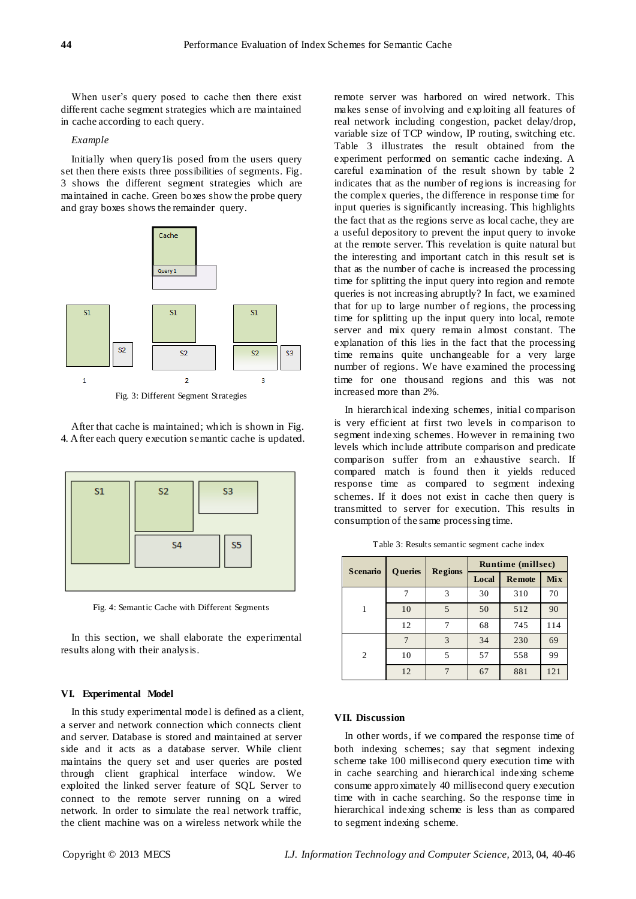When user's query posed to cache then there exist different cache segment strategies which are maintained in cache according to each query.

#### *Example*

Initially when query1is posed from the users query set then there exists three possibilities of segments. Fig. 3 shows the different segment strategies which are maintained in cache. Green boxes show the probe query and gray boxes shows the remainder query.



Fig. 3: Different Segment Strategies

After that cache is maintained; which is shown in Fig. 4. After each query execution semantic cache is updated.



Fig. 4: Semantic Cache with Different Segments

In this section, we shall elaborate the experimental results along with their analysis.

#### **VI. Experimental Model**

In this study experimental model is defined as a client, a server and network connection which connects client and server. Database is stored and maintained at server side and it acts as a database server. While client maintains the query set and user queries are posted through client graphical interface window. We exploited the linked server feature of SQL Server to connect to the remote server running on a wired network. In order to simulate the real network traffic, the client machine was on a wireless network while the

remote server was harbored on wired network. This makes sense of involving and exploiting all features of real network including congestion, packet delay/drop, variable size of TCP window, IP routing, switching etc. Table 3 illustrates the result obtained from the experiment performed on semantic cache indexing. A careful examination of the result shown by table 2 indicates that as the number of regions is increasing for the complex queries, the difference in response time for input queries is significantly increasing. This highlights the fact that as the regions serve as local cache, they are a useful depository to prevent the input query to invoke at the remote server. This revelation is quite natural but the interesting and important catch in this result set is that as the number of cache is increased the processing time for splitting the input query into region and remote queries is not increasing abruptly? In fact, we examined that for up to large number of regions, the processing time for splitting up the input query into local, remote server and mix query remain almost constant. The explanation of this lies in the fact that the processing time remains quite unchangeable for a very large number of regions. We have examined the processing time for one thousand regions and this was not increased more than 2%.

In hierarchical indexing schemes, initial comparison is very efficient at first two levels in comparison to segment indexing schemes. However in remaining two levels which include attribute comparison and predicate comparison suffer from an exhaustive search. If compared match is found then it yields reduced response time as compared to segment indexing schemes. If it does not exist in cache then query is transmitted to server for execution. This results in consumption of the same processing time.

| <b>Scenario</b> | <b>Queries</b> | <b>Regions</b> | <b>Runtime (millsec)</b> |               |     |
|-----------------|----------------|----------------|--------------------------|---------------|-----|
|                 |                |                | Local                    | <b>Remote</b> | Mix |
|                 |                | 3              | 30                       | 310           | 70  |
|                 | 10             | 5              | 50                       | 512           | 90  |
|                 | 12             |                | 68                       | 745           | 114 |
|                 |                | 3              | 34                       | 230           | 69  |
| 2               | 10             | 5              | 57                       | 558           | 99  |
|                 | 12             |                | 67                       | 881           | 121 |

Table 3: Results semantic segment cache index

## **VII. Discussion**

In other words, if we compared the response time of both indexing schemes; say that segment indexing scheme take 100 millisecond query execution time with in cache searching and hierarchical indexing scheme consume approximately 40 millisecond query execution time with in cache searching. So the response time in hierarchical indexing scheme is less than as compared to segment indexing scheme.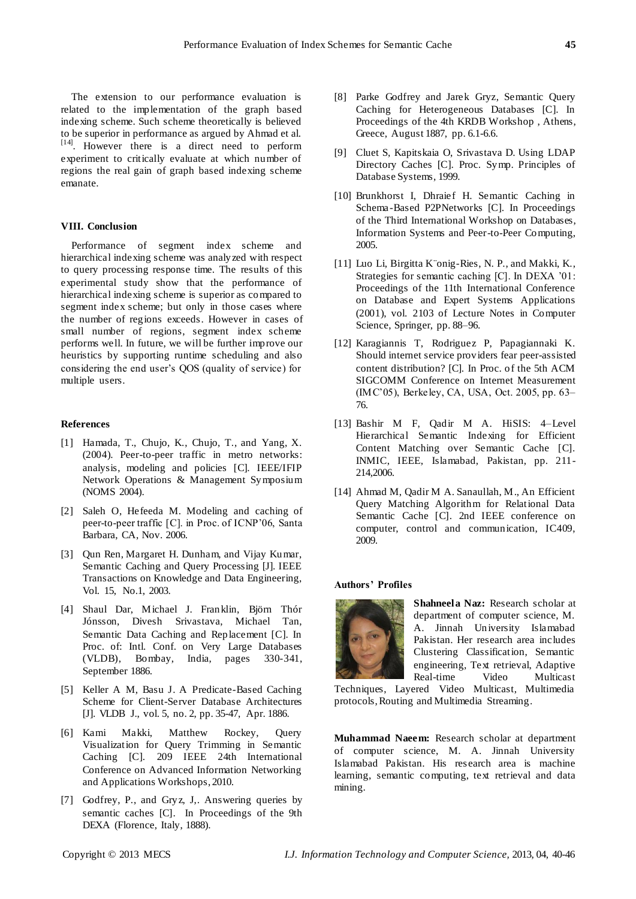The extension to our performance evaluation is related to the implementation of the graph based indexing scheme. Such scheme theoretically is believed to be superior in performance as argued by Ahmad et al. [14]. However there is a direct need to perform experiment to critically evaluate at which number of regions the real gain of graph based indexing scheme emanate.

#### **VIII. Conclusion**

Performance of segment index scheme and hierarchical indexing scheme was analyzed with respect to query processing response time. The results of this experimental study show that the performance of hierarchical indexing scheme is superior as compared to segment index scheme; but only in those cases where the number of regions exceeds. However in cases of small number of regions, segment index scheme performs well. In future, we will be further improve our heuristics by supporting runtime scheduling and also considering the end user's QOS (quality of service) for multiple users.

#### **References**

- [1] Hamada, T., Chujo, K., Chujo, T., and Yang, X. (2004). Peer-to-peer traffic in metro networks: analysis, modeling and policies [C]. IEEE/IFIP Network Operations & Management Symposium (NOMS 2004).
- [2] Saleh O, Hefeeda M. Modeling and caching of peer-to-peer traffic [C]. in Proc. of ICNP'06, Santa Barbara, CA, Nov. 2006.
- [3] Qun Ren, Margaret H. Dunham, and Vijay Kumar, Semantic Caching and Query Processing [J]. IEEE Transactions on Knowledge and Data Engineering, Vol. 15, No.1, 2003.
- [4] Shaul Dar, Michael J. Franklin, Björn Thór Jónsson, Divesh Srivastava, Michael Tan, Semantic Data Caching and Replacement [C]. In Proc. of: Intl. Conf. on Very Large Databases (VLDB), Bombay, India, pages 330-341, September 1886.
- [5] Keller A M, Basu J. A Predicate-Based Caching Scheme for Client-Server Database Architectures [J]. VLDB J., vol. 5, no. 2, pp. 35-47, Apr. 1886.
- [6] Kami Makki, Matthew Rockey, Query Visualization for Query Trimming in Semantic Caching [C]. 209 IEEE 24th International Conference on Advanced Information Networking and Applications Workshops, 2010.
- [7] Godfrey, P., and Gryz, J,. Answering queries by semantic caches [C]. In Proceedings of the 9th DEXA (Florence, Italy, 1888).
- [8] [Parke Godfrey](http://karna.cs.umd.edu:3264/people/godfrey/page.html) and [Jarek Gryz,](http://www.cs.yorku.ca/~jarek/) Semantic Query Caching for Heterogeneous Databases [C]. In Proceedings of the 4th KRDB Workshop , Athens, Greece, August 1887, pp. 6.1-6.6.
- [9] Cluet S, Kapitskaia O, Srivastava D. Using LDAP Directory Caches [C]. Proc. Symp. Principles of Database Systems, 1999.
- [10] Brunkhorst I, Dhraief H. Semantic Caching in Schema-Based P2PNetworks [C]. In Proceedings of the Third International Workshop on Databases, Information Systems and Peer-to-Peer Computing, 2005.
- [11] Luo Li, Birgitta K önig-Ries, N. P., and Makki, K., Strategies for semantic caching [C]. In DEXA '01: Proceedings of the 11th International Conference on Database and Expert Systems Applications (2001), vol. 2103 of Lecture Notes in Computer Science, Springer, pp. 88–96.
- [12] Karagiannis T, Rodriguez P, Papagiannaki K. Should internet service providers fear peer-assisted content distribution? [C]. In Proc. of the 5th ACM SIGCOMM Conference on Internet Measurement (IMC'05), Berkeley, CA, USA, Oct. 2005, pp. 63– 76.
- [13] Bashir M F, Qadir M A. HiSIS: 4–Level Hierarchical Semantic Indexing for Efficient Content Matching over Semantic Cache [C]. INMIC, IEEE, Islamabad, Pakistan, pp. 211- 214,2006.
- [14] Ahmad M, Qadir M A. Sanaullah, M., An Efficient Query Matching Algorithm for Relational Data Semantic Cache [C]. 2nd IEEE conference on computer, control and communication, IC409, 2009.

#### **Authors' Profiles**



**Shahneela Naz:** Research scholar at department of computer science, M. A. Jinnah University Islamabad Pakistan. Her research area includes Clustering Classification, Semantic engineering, Text retrieval, Adaptive Real-time Video Multicast

Techniques, Layered Video Multicast, Multimedia protocols, Routing and Multimedia Streaming.

**Muhammad Naeem:** Research scholar at department of computer science, M. A. Jinnah University Islamabad Pakistan. His research area is machine learning, semantic computing, text retrieval and data mining.